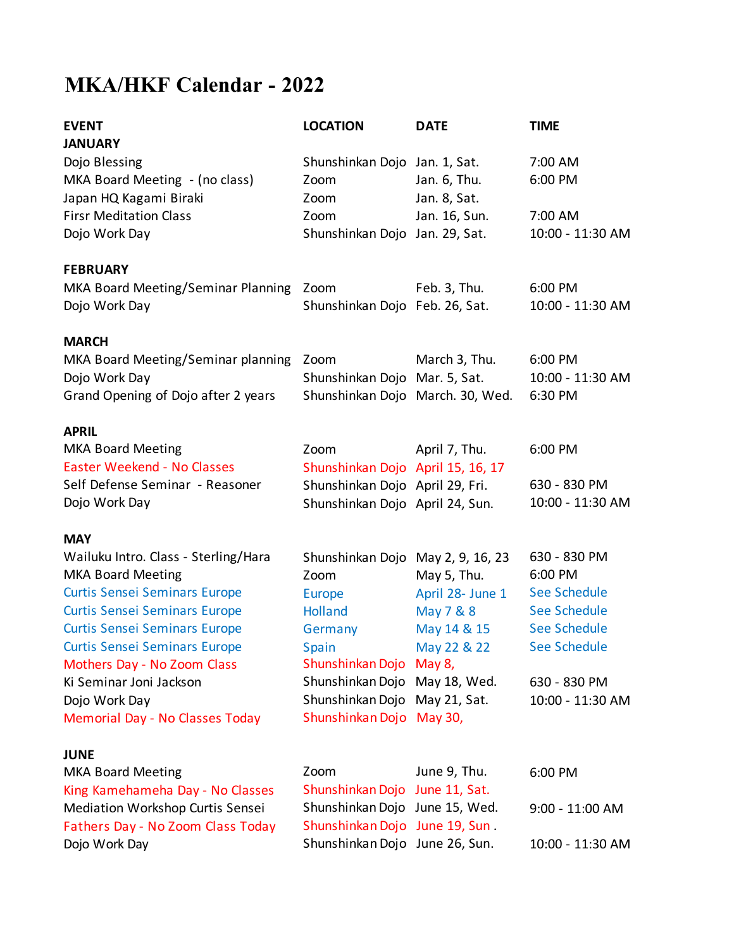# **MKA/HKF Calendar - 2022**

| <b>EVENT</b><br><b>JANUARY</b>                                                                                                                                                                                                                                                                                                                        | <b>LOCATION</b>                                                                                                                                                                                | <b>DATE</b>                                                                                | <b>TIME</b>                                                                                                                               |
|-------------------------------------------------------------------------------------------------------------------------------------------------------------------------------------------------------------------------------------------------------------------------------------------------------------------------------------------------------|------------------------------------------------------------------------------------------------------------------------------------------------------------------------------------------------|--------------------------------------------------------------------------------------------|-------------------------------------------------------------------------------------------------------------------------------------------|
| Dojo Blessing<br>MKA Board Meeting - (no class)<br>Japan HQ Kagami Biraki                                                                                                                                                                                                                                                                             | Shunshinkan Dojo Jan. 1, Sat.<br>Zoom<br>Zoom                                                                                                                                                  | Jan. 6, Thu.<br>Jan. 8, Sat.                                                               | 7:00 AM<br>6:00 PM                                                                                                                        |
| <b>Firsr Meditation Class</b><br>Dojo Work Day                                                                                                                                                                                                                                                                                                        | Zoom<br>Shunshinkan Dojo Jan. 29, Sat.                                                                                                                                                         | Jan. 16, Sun.                                                                              | 7:00 AM<br>10:00 - 11:30 AM                                                                                                               |
| <b>FEBRUARY</b>                                                                                                                                                                                                                                                                                                                                       |                                                                                                                                                                                                |                                                                                            |                                                                                                                                           |
| MKA Board Meeting/Seminar Planning<br>Dojo Work Day                                                                                                                                                                                                                                                                                                   | Zoom<br>Shunshinkan Dojo Feb. 26, Sat.                                                                                                                                                         | Feb. 3, Thu.                                                                               | 6:00 PM<br>10:00 - 11:30 AM                                                                                                               |
| <b>MARCH</b>                                                                                                                                                                                                                                                                                                                                          |                                                                                                                                                                                                |                                                                                            |                                                                                                                                           |
| MKA Board Meeting/Seminar planning<br>Dojo Work Day<br>Grand Opening of Dojo after 2 years                                                                                                                                                                                                                                                            | Zoom<br>Shunshinkan Dojo Mar. 5, Sat.<br>Shunshinkan Dojo March. 30, Wed.                                                                                                                      | March 3, Thu.                                                                              | 6:00 PM<br>10:00 - 11:30 AM<br>6:30 PM                                                                                                    |
| <b>APRIL</b>                                                                                                                                                                                                                                                                                                                                          |                                                                                                                                                                                                |                                                                                            |                                                                                                                                           |
| <b>MKA Board Meeting</b><br><b>Easter Weekend - No Classes</b>                                                                                                                                                                                                                                                                                        | Zoom<br>Shunshinkan Dojo April 15, 16, 17                                                                                                                                                      | April 7, Thu.                                                                              | 6:00 PM                                                                                                                                   |
| Self Defense Seminar - Reasoner<br>Dojo Work Day                                                                                                                                                                                                                                                                                                      | Shunshinkan Dojo April 29, Fri.<br>Shunshinkan Dojo April 24, Sun.                                                                                                                             |                                                                                            | 630 - 830 PM<br>10:00 - 11:30 AM                                                                                                          |
| <b>MAY</b>                                                                                                                                                                                                                                                                                                                                            |                                                                                                                                                                                                |                                                                                            |                                                                                                                                           |
| Wailuku Intro. Class - Sterling/Hara<br><b>MKA Board Meeting</b><br><b>Curtis Sensei Seminars Europe</b><br><b>Curtis Sensei Seminars Europe</b><br><b>Curtis Sensei Seminars Europe</b><br><b>Curtis Sensei Seminars Europe</b><br>Mothers Day - No Zoom Class<br>Ki Seminar Joni Jackson<br>Dojo Work Day<br><b>Memorial Day - No Classes Today</b> | Shunshinkan Dojo May 2, 9, 16, 23<br>Zoom<br>Europe<br>Holland<br>Germany<br>Spain<br>Shunshinkan Dojo May 8,<br>Shunshinkan Dojo<br>Shunshinkan Dojo May 21, Sat.<br>Shunshinkan Dojo May 30, | May 5, Thu.<br>April 28- June 1<br>May 7 & 8<br>May 14 & 15<br>May 22 & 22<br>May 18, Wed. | 630 - 830 PM<br>6:00 PM<br>See Schedule<br><b>See Schedule</b><br><b>See Schedule</b><br>See Schedule<br>630 - 830 PM<br>10:00 - 11:30 AM |
| JUNE<br><b>MKA Board Meeting</b>                                                                                                                                                                                                                                                                                                                      | Zoom<br>Shunshinkan Dojo June 11, Sat.                                                                                                                                                         | June 9, Thu.                                                                               | 6:00 PM                                                                                                                                   |
| King Kamehameha Day - No Classes<br>Mediation Workshop Curtis Sensei<br>Fathers Day - No Zoom Class Today                                                                                                                                                                                                                                             | Shunshinkan Dojo June 15, Wed.<br>Shunshinkan Dojo June 19, Sun.                                                                                                                               |                                                                                            | 9:00 - 11:00 AM                                                                                                                           |
| Dojo Work Day                                                                                                                                                                                                                                                                                                                                         | Shunshinkan Dojo June 26, Sun.                                                                                                                                                                 |                                                                                            | 10:00 - 11:30 AM                                                                                                                          |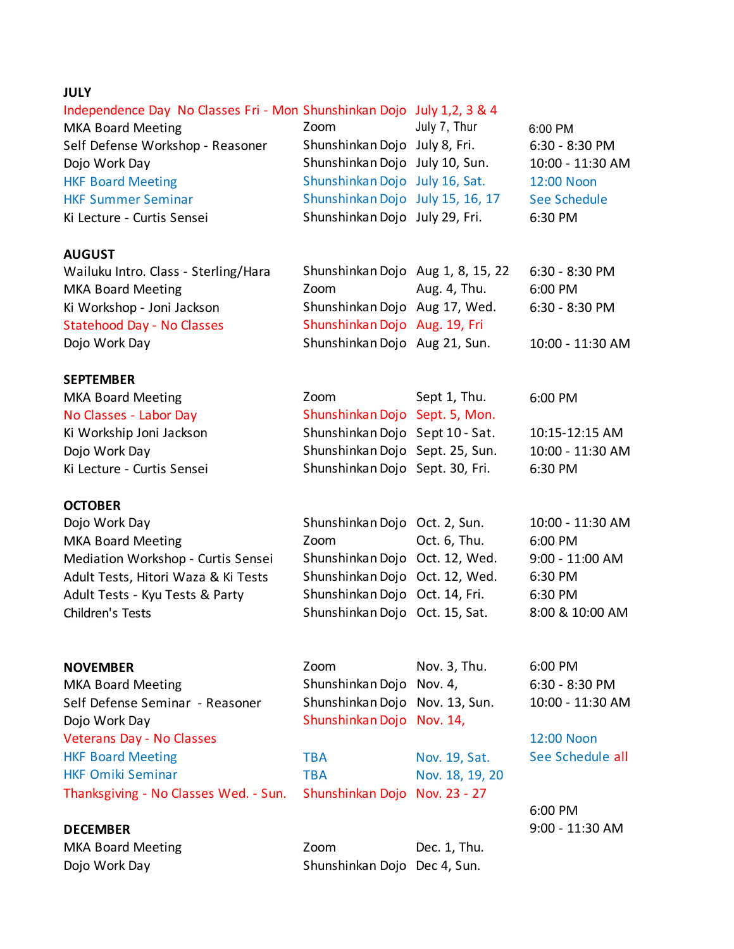# **JULY**

# Independence Day No Classes Fri - Mon Shunshinkan Dojo July 1,2, 3 & 4

| <b>MKA Board Meeting</b>         | Zoom                             | July 7, Thur | 6:00 PM          |
|----------------------------------|----------------------------------|--------------|------------------|
| Self Defense Workshop - Reasoner | Shunshinkan Dojo July 8, Fri.    |              | $6:30 - 8:30$ PM |
| Dojo Work Day                    | Shunshinkan Dojo July 10, Sun.   |              | 10:00 - 11:30 AM |
| <b>HKF Board Meeting</b>         | Shunshinkan Dojo July 16, Sat.   |              | 12:00 Noon       |
| <b>HKF Summer Seminar</b>        | Shunshinkan Dojo July 15, 16, 17 |              | See Schedule     |
| Ki Lecture - Curtis Sensei       | Shunshinkan Dojo July 29, Fri.   |              | 6:30 PM          |

## **AUGUST**

| Wailuku Intro. Class - Sterling/Hara | Shunshinkan Dojo Aug 1, 8, 15, 22 |              | 6:30 - 8:30 PM   |
|--------------------------------------|-----------------------------------|--------------|------------------|
| <b>MKA Board Meeting</b>             | Zoom                              | Aug. 4, Thu. | 6:00 PM          |
| Ki Workshop - Joni Jackson           | Shunshinkan Dojo Aug 17, Wed.     |              | 6:30 - 8:30 PM   |
| <b>Statehood Day - No Classes</b>    | Shunshinkan Dojo Aug. 19, Fri     |              |                  |
| Dojo Work Day                        | Shunshinkan Dojo Aug 21, Sun.     |              | 10:00 - 11:30 AM |

#### **SEPTEMBER**

| <b>MKA Board Meeting</b>   | Zoom                            | Sept 1, Thu. | 6:00 PM         |
|----------------------------|---------------------------------|--------------|-----------------|
| No Classes - Labor Day     | Shunshinkan Dojo Sept. 5, Mon.  |              |                 |
| Ki Workship Joni Jackson   | Shunshinkan Dojo Sept 10 - Sat. |              | 10:15-12:15 AM  |
| Dojo Work Day              | Shunshinkan Dojo Sept. 25, Sun. |              | 10:00 - 11:30 A |
| Ki Lecture - Curtis Sensei | Shunshinkan Dojo Sept. 30, Fri. |              | 6:30 PM         |
|                            |                                 |              |                 |

### **OCTOBER**

| Dojo Work Day                       | Shunshinkan Dojo Oct. 2, Sun.  |              |
|-------------------------------------|--------------------------------|--------------|
| <b>MKA Board Meeting</b>            | Zoom                           | Oct. 6, Thu. |
| Mediation Workshop - Curtis Sensei  | Shunshinkan Dojo Oct. 12, Wed. |              |
| Adult Tests, Hitori Waza & Ki Tests | Shunshinkan Dojo Oct. 12, Wed. |              |
| Adult Tests - Kyu Tests & Party     | Shunshinkan Dojo Oct. 14, Fri. |              |
| Children's Tests                    | Shunshinkan Dojo Oct. 15, Sat. |              |

## **NOVEMBER** MKA Board Meeting

Self Defense Seminar - Reasoner Dojo Work Day Veterans Day - No Classes HKF Board Meeting HKF Omiki Seminar TBA Nov. 18, 19, 20 Thanksgiving - No Classes Wed. - Sun. Shunshinkan Dojo Nov. 23 - 27

# **DECEMBER**

| <b>MKA Board Meeting</b> |  |
|--------------------------|--|
| Dojo Work Day            |  |

| Zoom                           | Nov. 3, Thu. |
|--------------------------------|--------------|
| Shunshinkan Dojo Nov. 4,       |              |
| Shunshinkan Dojo Nov. 13, Sun. |              |
| Shunshinkan Dojo Nov. 14,      |              |

TBA Nov. 19, Sat.

| <b>MKA Board Meeting</b> | Zoom                         | Dec. 1, Thu. |
|--------------------------|------------------------------|--------------|
| Dojo Work Day            | Shunshinkan Dojo Dec 4, Sun. |              |

10:15-12:15 AM  $M<sub>1</sub>$ 10:00 - 11:30 AM 6:00 PM 9:00 - 11:00 AM

6:30 PM 6:30 PM 8:00 & 10:00 AM

6:00 PM 6:30 - 8:30 PM 10:00 - 11:30 AM

12:00 Noon See Schedule all

6:00 PM 9:00 - 11:30 AM